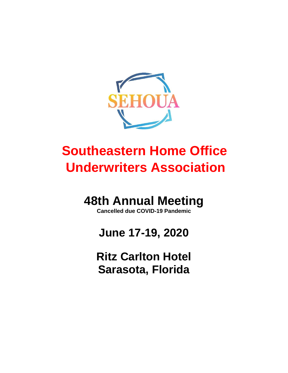

# **Southeastern Home Office Underwriters Association**

# **48th Annual Meeting**

**Cancelled due COVID-19 Pandemic**

# **June 17-19, 2020**

**Ritz Carlton Hotel Sarasota, Florida**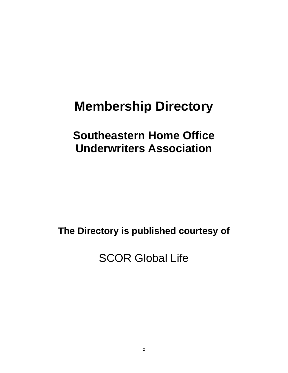# **Membership Directory**

## **Southeastern Home Office Underwriters Association**

**The Directory is published courtesy of**

SCOR Global Life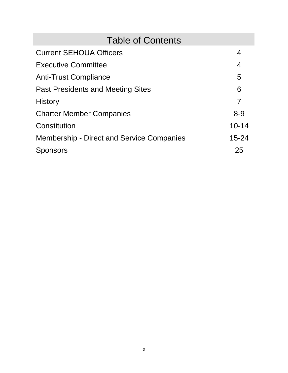| <b>Table of Contents</b>                         |                |  |
|--------------------------------------------------|----------------|--|
| <b>Current SEHOUA Officers</b>                   | 4              |  |
| <b>Executive Committee</b>                       | $\overline{4}$ |  |
| <b>Anti-Trust Compliance</b>                     | 5              |  |
| <b>Past Presidents and Meeting Sites</b>         | 6              |  |
| <b>History</b>                                   | $\overline{7}$ |  |
| <b>Charter Member Companies</b>                  | $8 - 9$        |  |
| Constitution                                     | $10 - 14$      |  |
| <b>Membership - Direct and Service Companies</b> | $15 - 24$      |  |
| ponsors                                          | 25             |  |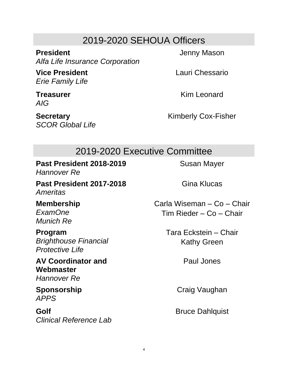## 2019-2020 SEHOUA Officers

**President** *Alfa Life Insurance Corporation*

**Vice President** *Erie Family Life*

**Treasurer** *AIG*

**Secretary** *SCOR Global Life* Jenny Mason

Lauri Chessario

Kim Leonard

Kimberly Cox-Fisher

## 2019-2020 Executive Committee

**Past President 2018-2019** *Hannover Re*

**Past President 2017-2018** *Ameritas*

**Membership** *ExamOne Munich Re*

**Program** *Brighthouse Financial Protective Life*

**AV Coordinator and Webmaster** *Hannover Re*

**Sponsorship** *APPS*

**Golf** *Clinical Reference Lab* Susan Mayer

Gina Klucas

Carla Wiseman – Co – Chair Tim Rieder – Co – Chair

> Tara Eckstein – Chair Kathy Green

> > Paul Jones

Craig Vaughan

Bruce Dahlquist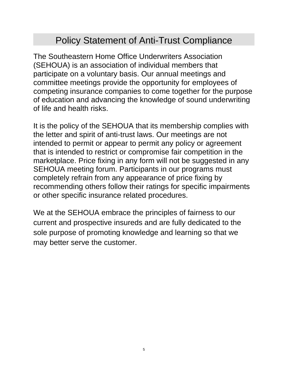## Policy Statement of Anti-Trust Compliance

The Southeastern Home Office Underwriters Association (SEHOUA) is an association of individual members that participate on a voluntary basis. Our annual meetings and committee meetings provide the opportunity for employees of competing insurance companies to come together for the purpose of education and advancing the knowledge of sound underwriting of life and health risks.

It is the policy of the SEHOUA that its membership complies with the letter and spirit of anti-trust laws. Our meetings are not intended to permit or appear to permit any policy or agreement that is intended to restrict or compromise fair competition in the marketplace. Price fixing in any form will not be suggested in any SEHOUA meeting forum. Participants in our programs must completely refrain from any appearance of price fixing by recommending others follow their ratings for specific impairments or other specific insurance related procedures.

We at the SEHOUA embrace the principles of fairness to our current and prospective insureds and are fully dedicated to the sole purpose of promoting knowledge and learning so that we may better serve the customer.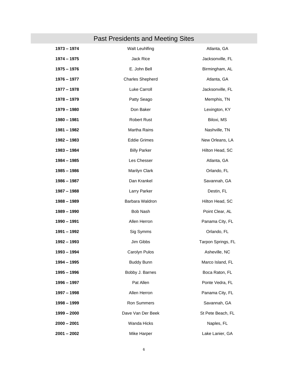## Past Presidents and Meeting Sites

| 1973 - 1974   | Walt Leuhlfing          | Atlanta, GA        |
|---------------|-------------------------|--------------------|
| 1974 - 1975   | Jack Rice               | Jacksonville, FL   |
| 1975 - 1976   | E. John Bell            | Birmingham, AL     |
| 1976 - 1977   | <b>Charles Shepherd</b> | Atlanta, GA        |
| 1977 - 1978   | Luke Carroll            | Jacksonville, FL   |
| 1978 - 1979   | Patty Seago             | Memphis, TN        |
| 1979 - 1980   | Don Baker               | Lexington, KY      |
| 1980 - 1981   | <b>Robert Rust</b>      | Biloxi, MS         |
| 1981 - 1982   | Martha Rains            | Nashville, TN      |
| 1982 - 1983   | <b>Eddie Grimes</b>     | New Orleans, LA    |
| 1983 - 1984   | <b>Billy Parker</b>     | Hilton Head, SC    |
| 1984 - 1985   | Les Chesser             | Atlanta, GA        |
| 1985 - 1986   | Marilyn Clark           | Orlando, FL        |
| 1986 – 1987   | Dan Krankel             | Savannah, GA       |
| 1987 - 1988   | Larry Parker            | Destin, FL         |
| 1988 - 1989   | Barbara Waldron         | Hilton Head, SC    |
| 1989 – 1990   | <b>Bob Nash</b>         | Point Clear, AL    |
| 1990 - 1991   | Allen Herron            | Panama City, FL    |
| 1991 - 1992   | Sig Symms               | Orlando, FL        |
| 1992 - 1993   | Jim Gibbs               | Tarpon Springs, FL |
| 1993 - 1994   | Carolyn Pulos           | Asheville, NC      |
| 1994 - 1995   | <b>Buddy Bunn</b>       | Marco Island, FL   |
| 1995 - 1996   | Bobby J. Barnes         | Boca Raton, FL     |
| 1996 – 1997   | Pat Allen               | Ponte Vedra, FL    |
| 1997 – 1998   | Allen Herron            | Panama City, FL    |
| 1998 - 1999   | <b>Ron Summers</b>      | Savannah, GA       |
| $1999 - 2000$ | Dave Van Der Beek       | St Pete Beach, FL  |
| $2000 - 2001$ | Wanda Hicks             | Naples, FL         |
| $2001 - 2002$ | Mike Harper             | Lake Lanier, GA    |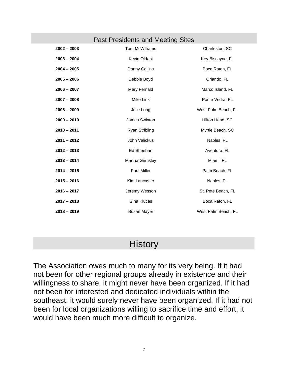#### Past Presidents and Meeting Sites

| $2002 - 2003$ | <b>Tom McWilliams</b>  | Charleston, SC      |
|---------------|------------------------|---------------------|
| $2003 - 2004$ | Kevin Oldani           | Key Biscayne, FL    |
| $2004 - 2005$ | Danny Collins          | Boca Raton, FL      |
| $2005 - 2006$ | Debbie Boyd            | Orlando, FL         |
| $2006 - 2007$ | Mary Fernald           | Marco Island, FL    |
| $2007 - 2008$ | Mike Link              | Ponte Vedra, FL     |
| $2008 - 2009$ | Julie Long             | West Palm Beach, FL |
| $2009 - 2010$ | James Swinton          | Hilton Head, SC     |
| $2010 - 2011$ | <b>Ryan Stribling</b>  | Myrtle Beach, SC    |
| $2011 - 2012$ | John Valickus          | Naples, FL          |
| $2012 - 2013$ | Ed Sheehan             | Aventura, FL        |
| $2013 - 2014$ | <b>Martha Grimsley</b> | Miami, FL           |
| $2014 - 2015$ | Paul Miller            | Palm Beach, FL      |
| $2015 - 2016$ | Kim Lancaster          | Naples. FL          |
| $2016 - 2017$ | Jeremy Wesson          | St. Pete Beach, FL  |
| $2017 - 2018$ | Gina Klucas            | Boca Raton, FL      |
| $2018 - 2019$ | Susan Mayer            | West Palm Beach, FL |

### **History**

The Association owes much to many for its very being. If it had not been for other regional groups already in existence and their willingness to share, it might never have been organized. If it had not been for interested and dedicated individuals within the southeast, it would surely never have been organized. If it had not been for local organizations willing to sacrifice time and effort, it would have been much more difficult to organize.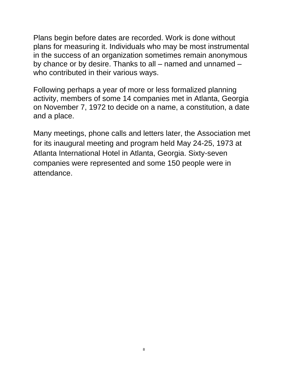Plans begin before dates are recorded. Work is done without plans for measuring it. Individuals who may be most instrumental in the success of an organization sometimes remain anonymous by chance or by desire. Thanks to all – named and unnamed – who contributed in their various ways.

Following perhaps a year of more or less formalized planning activity, members of some 14 companies met in Atlanta, Georgia on November 7, 1972 to decide on a name, a constitution, a date and a place.

Many meetings, phone calls and letters later, the Association met for its inaugural meeting and program held May 24-25, 1973 at Atlanta International Hotel in Atlanta, Georgia. Sixty-seven companies were represented and some 150 people were in attendance.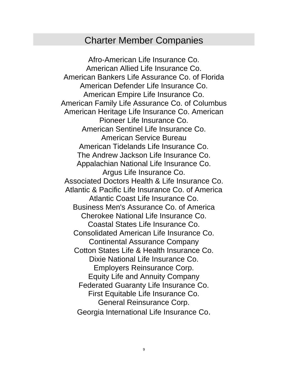### Charter Member Companies

Afro-American Life Insurance Co. American Allied Life Insurance Co. American Bankers Life Assurance Co. of Florida American Defender Life Insurance Co. American Empire Life Insurance Co. American Family Life Assurance Co. of Columbus American Heritage Life Insurance Co. American Pioneer Life Insurance Co. American Sentinel Life Insurance Co. American Service Bureau American Tidelands Life Insurance Co. The Andrew Jackson Life Insurance Co. Appalachian National Life Insurance Co. Argus Life Insurance Co. Associated Doctors Health & Life Insurance Co. Atlantic & Pacific Life Insurance Co. of America Atlantic Coast Life Insurance Co. Business Men's Assurance Co. of America Cherokee National Life Insurance Co. Coastal States Life Insurance Co. Consolidated American Life Insurance Co. Continental Assurance Company Cotton States Life & Health Insurance Co. Dixie National Life Insurance Co. Employers Reinsurance Corp. Equity Life and Annuity Company Federated Guaranty Life Insurance Co. First Equitable Life Insurance Co. General Reinsurance Corp. Georgia International Life Insurance Co.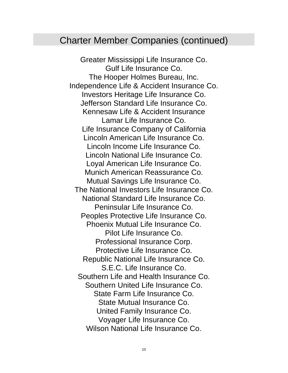### Charter Member Companies (continued)

Greater Mississippi Life Insurance Co. Gulf Life Insurance Co. The Hooper Holmes Bureau, Inc. Independence Life & Accident Insurance Co. Investors Heritage Life Insurance Co. Jefferson Standard Life Insurance Co. Kennesaw Life & Accident Insurance Lamar Life Insurance Co. Life Insurance Company of California Lincoln American Life Insurance Co. Lincoln Income Life Insurance Co. Lincoln National Life Insurance Co. Loyal American Life Insurance Co. Munich American Reassurance Co. Mutual Savings Life Insurance Co. The National Investors Life Insurance Co. National Standard Life Insurance Co. Peninsular Life Insurance Co. Peoples Protective Life Insurance Co. Phoenix Mutual Life Insurance Co. Pilot Life Insurance Co. Professional Insurance Corp. Protective Life Insurance Co. Republic National Life Insurance Co. S.E.C. Life Insurance Co. Southern Life and Health Insurance Co. Southern United Life Insurance Co. State Farm Life Insurance Co. State Mutual Insurance Co. United Family Insurance Co. Voyager Life Insurance Co. Wilson National Life Insurance Co.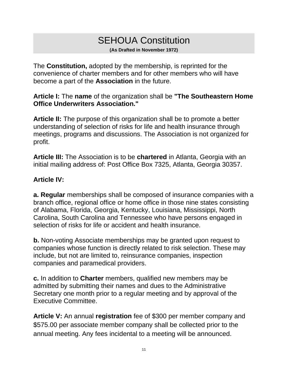## SEHOUA Constitution

**(As Drafted in November 1972)**

The **Constitution,** adopted by the membership, is reprinted for the convenience of charter members and for other members who will have become a part of the **Association** in the future.

**Article I:** The **name** of the organization shall be **"The Southeastern Home Office Underwriters Association."**

**Article II:** The purpose of this organization shall be to promote a better understanding of selection of risks for life and health insurance through meetings, programs and discussions. The Association is not organized for profit.

**Article III:** The Association is to be **chartered** in Atlanta, Georgia with an initial mailing address of: Post Office Box 7325, Atlanta, Georgia 30357.

#### **Article IV:**

**a. Regular** memberships shall be composed of insurance companies with a branch office, regional office or home office in those nine states consisting of Alabama, Florida, Georgia, Kentucky, Louisiana, Mississippi, North Carolina, South Carolina and Tennessee who have persons engaged in selection of risks for life or accident and health insurance.

**b.** Non-voting Associate memberships may be granted upon request to companies whose function is directly related to risk selection. These may include, but not are limited to, reinsurance companies, inspection companies and paramedical providers.

**c.** In addition to **Charter** members, qualified new members may be admitted by submitting their names and dues to the Administrative Secretary one month prior to a regular meeting and by approval of the Executive Committee.

**Article V:** An annual **registration** fee of \$300 per member company and \$575.00 per associate member company shall be collected prior to the annual meeting. Any fees incidental to a meeting will be announced.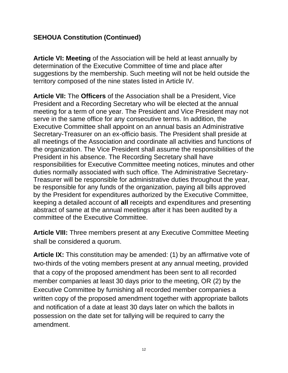**Article VI: Meeting** of the Association will be held at least annually by determination of the Executive Committee of time and place after suggestions by the membership. Such meeting will not be held outside the territory composed of the nine states listed in Article IV.

**Article VII:** The **Officers** of the Association shall be a President, Vice President and a Recording Secretary who will be elected at the annual meeting for a term of one year. The President and Vice President may not serve in the same office for any consecutive terms. In addition, the Executive Committee shall appoint on an annual basis an Administrative Secretary-Treasurer on an ex-officio basis. The President shall preside at all meetings of the Association and coordinate all activities and functions of the organization. The Vice President shall assume the responsibilities of the President in his absence. The Recording Secretary shall have responsibilities for Executive Committee meeting notices, minutes and other duties normally associated with such office. The Administrative Secretary-Treasurer will be responsible for administrative duties throughout the year, be responsible for any funds of the organization, paying all bills approved by the President for expenditures authorized by the Executive Committee, keeping a detailed account of **all** receipts and expenditures and presenting abstract of same at the annual meetings after it has been audited by a committee of the Executive Committee.

**Article VIII:** Three members present at any Executive Committee Meeting shall be considered a quorum.

**Article IX:** This constitution may be amended: (1) by an affirmative vote of two-thirds of the voting members present at any annual meeting, provided that a copy of the proposed amendment has been sent to all recorded member companies at least 30 days prior to the meeting, OR (2) by the Executive Committee by furnishing all recorded member companies a written copy of the proposed amendment together with appropriate ballots and notification of a date at least 30 days later on which the ballots in possession on the date set for tallying will be required to carry the amendment.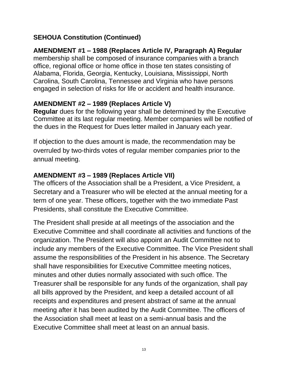## **AMENDMENT #1 – 1988 (Replaces Article IV, Paragraph A) Regular**

membership shall be composed of insurance companies with a branch office, regional office or home office in those ten states consisting of Alabama, Florida, Georgia, Kentucky, Louisiana, Mississippi, North Carolina, South Carolina, Tennessee and Virginia who have persons engaged in selection of risks for life or accident and health insurance.

#### **AMENDMENT #2 – 1989 (Replaces Article V)**

**Regular** dues for the following year shall be determined by the Executive Committee at its last regular meeting. Member companies will be notified of the dues in the Request for Dues letter mailed in January each year.

If objection to the dues amount is made, the recommendation may be overruled by two-thirds votes of regular member companies prior to the annual meeting.

#### **AMENDMENT #3 – 1989 (Replaces Article VII)**

The officers of the Association shall be a President, a Vice President, a Secretary and a Treasurer who will be elected at the annual meeting for a term of one year. These officers, together with the two immediate Past Presidents, shall constitute the Executive Committee.

The President shall preside at all meetings of the association and the Executive Committee and shall coordinate all activities and functions of the organization. The President will also appoint an Audit Committee not to include any members of the Executive Committee. The Vice President shall assume the responsibilities of the President in his absence. The Secretary shall have responsibilities for Executive Committee meeting notices, minutes and other duties normally associated with such office. The Treasurer shall be responsible for any funds of the organization, shall pay all bills approved by the President, and keep a detailed account of all receipts and expenditures and present abstract of same at the annual meeting after it has been audited by the Audit Committee. The officers of the Association shall meet at least on a semi-annual basis and the Executive Committee shall meet at least on an annual basis.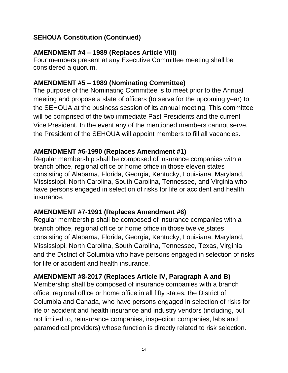#### **AMENDMENT #4 – 1989 (Replaces Article VIII)**

Four members present at any Executive Committee meeting shall be considered a quorum.

#### **AMENDMENT #5 – 1989 (Nominating Committee)**

The purpose of the Nominating Committee is to meet prior to the Annual meeting and propose a slate of officers (to serve for the upcoming year) to the SEHOUA at the business session of its annual meeting. This committee will be comprised of the two immediate Past Presidents and the current Vice President. In the event any of the mentioned members cannot serve, the President of the SEHOUA will appoint members to fill all vacancies.

#### **AMENDMENT #6-1990 (Replaces Amendment #1)**

Regular membership shall be composed of insurance companies with a branch office, regional office or home office in those eleven states consisting of Alabama, Florida, Georgia, Kentucky, Louisiana, Maryland, Mississippi, North Carolina, South Carolina, Tennessee, and Virginia who have persons engaged in selection of risks for life or accident and health insurance.

#### **AMENDMENT #7-1991 (Replaces Amendment #6)**

Regular membership shall be composed of insurance companies with a branch office, regional office or home office in those twelve states consisting of Alabama, Florida, Georgia, Kentucky, Louisiana, Maryland, Mississippi, North Carolina, South Carolina, Tennessee, Texas, Virginia and the District of Columbia who have persons engaged in selection of risks for life or accident and health insurance.

#### **AMENDMENT #8-2017 (Replaces Article IV, Paragraph A and B)**

Membership shall be composed of insurance companies with a branch office, regional office or home office in all fifty states, the District of Columbia and Canada, who have persons engaged in selection of risks for life or accident and health insurance and industry vendors (including, but not limited to, reinsurance companies, inspection companies, labs and paramedical providers) whose function is directly related to risk selection.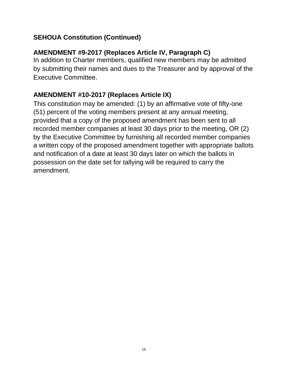#### **AMENDMENT #9-2017 (Replaces Article IV, Paragraph C)**

In addition to Charter members, qualified new members may be admitted by submitting their names and dues to the Treasurer and by approval of the Executive Committee.

#### **AMENDMENT #10-2017 (Replaces Article IX)**

This constitution may be amended: (1) by an affirmative vote of fifty-one (51) percent of the voting members present at any annual meeting, provided that a copy of the proposed amendment has been sent to all recorded member companies at least 30 days prior to the meeting, OR (2) by the Executive Committee by furnishing all recorded member companies a written copy of the proposed amendment together with appropriate ballots and notification of a date at least 30 days later on which the ballots in possession on the date set for tallying will be required to carry the amendment.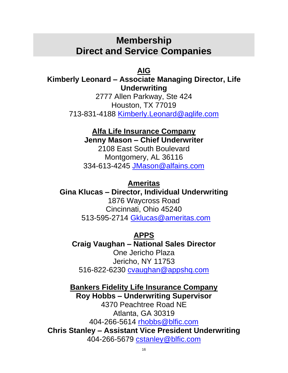## **Membership Direct and Service Companies**

**AIG**

#### **Kimberly Leonard – Associate Managing Director, Life Underwriting**

2777 Allen Parkway, Ste 424 Houston, TX 77019 713-831-4188 [Kimberly.Leonard@aglife.com](file:///C:/Users/mhn/AppData/Local/Microsoft/Windows/INetCache/Content.Outlook/TH1N5O25/Kimberly.Leonard@aglife.com)

## **Alfa Life Insurance Company**

**Jenny Mason – Chief Underwriter**

2108 East South Boulevard Montgomery, AL 36116 334-613-4245 [JMason@alfains.com](mailto:JMason@alfains.com)

#### **Ameritas**

**Gina Klucas – Director, Individual Underwriting** 1876 Waycross Road Cincinnati, Ohio 45240 513-595-2714 [Gklucas@ameritas.com](mailto:Gklucas@ameritas.com)

#### **APPS**

**Craig Vaughan – National Sales Director** One Jericho Plaza Jericho, NY 11753

516-822-6230 [cvaughan@appshq.com](mailto:cvaughan@appshq.com)

**Bankers Fidelity Life Insurance Company Roy Hobbs – Underwriting Supervisor**

4370 Peachtree Road NE Atlanta, GA 30319 404-266-5614 [rhobbs@blfic.com](mailto:rhobbs@blfic.com) **Chris Stanley – Assistant Vice President Underwriting** 404-266-5679 [cstanley@blfic.com](mailto:cstanley@blfic.com)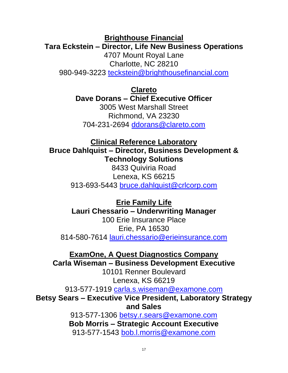**Brighthouse Financial Tara Eckstein – Director, Life New Business Operations** 4707 Mount Royal Lane Charlotte, NC 28210 980-949-3223 [teckstein@brighthousefinancial.com](mailto:teckstein@brighthousefinancial.com)

> **Clareto Dave Dorans – Chief Executive Officer** 3005 West Marshall Street

Richmond, VA 23230 704-231-2694 [ddorans@clareto.com](mailto:ddorans@clareto.com)

**Clinical Reference Laboratory Bruce Dahlquist – Director, Business Development & Technology Solutions**

8433 Quiviria Road Lenexa, KS 66215 913-693-5443 [bruce.dahlquist@crlcorp.com](mailto:bruce.dahlquist@crlcorp.com)

**Erie Family Life Lauri Chessario – Underwriting Manager**

100 Erie Insurance Place Erie, PA 16530 814-580-7614 [lauri.chessario@erieinsurance.com](mailto:lauri.chessario@erieinsurance.com)

**ExamOne, A Quest Diagnostics Company**

**Carla Wiseman – Business Development Executive**

10101 Renner Boulevard Lenexa, KS 66219

913-577-1919 [carla.s.wiseman@examone.com](mailto:carla.s.wiseman@examone.com)

**Betsy Sears – Executive Vice President, Laboratory Strategy and Sales**

> 913-577-1306 [betsy.r.sears@examone.com](mailto:betsy.r.sears@examone.com) **Bob Morris – Strategic Account Executive** 913-577-1543 [bob.l.morris@examone.com](mailto:bob.l.morris@examone.com)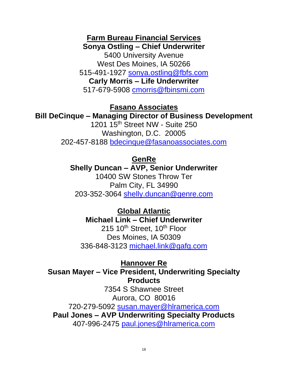**Farm Bureau Financial Services Sonya Ostling – Chief Underwriter** 5400 University Avenue West Des Moines, IA 50266 515-491-1927 [sonya.ostling@fbfs.com](mailto:sonya.ostling@fbfs.com) **Carly Morris – Life Underwriter** 517-679-5908 [cmorris@fbinsmi.com](mailto:cmorris@fbinsmi.com)

#### **Fasano Associates**

#### **Bill DeCinque – Managing Director of Business Development**

1201 15th Street NW - Suite 250 Washington, D.C. 20005 202-457-8188 [bdecinque@fasanoassociates.com](mailto:bdecinque@fasanoassociates.com)

#### **GenRe**

#### **Shelly Duncan – AVP, Senior Underwriter**

10400 SW Stones Throw Ter Palm City, FL 34990 203-352-3064 [shelly.duncan@genre.com](mailto:shelly.duncan@genre.com)

**Global Atlantic Michael Link – Chief Underwriter**

215 10<sup>th</sup> Street, 10<sup>th</sup> Floor Des Moines, IA 50309 336-848-3123 [michael.link@gafg.com](mailto:michael.link@gafg.com)

**Hannover Re Susan Mayer – Vice President, Underwriting Specialty Products**

7354 S Shawnee Street Aurora, CO 80016 720-279-5092 [susan.mayer@hlramerica.com](mailto:susan.mayer@hlramerica.com) **Paul Jones – AVP Underwriting Specialty Products** 407-996-2475 [paul.jones@hlramerica.com](mailto:paul.jones@hlramerica.com)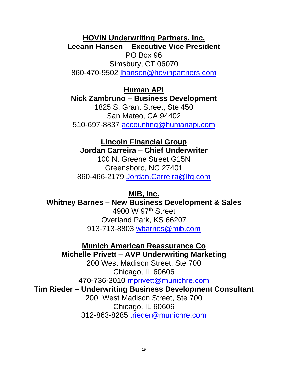**HOVIN Underwriting Partners, Inc. Leeann Hansen – Executive Vice President**

PO Box 96 Simsbury, CT 06070 860-470-9502 [lhansen@hovinpartners.com](mailto:lhansen@hovinpartners.com)

**Human API Nick Zambruno – Business Development** 1825 S. Grant Street, Ste 450 San Mateo, CA 94402 510-697-8837 [accounting@humanapi.com](mailto:accounting@humanapi.com)

**Lincoln Financial Group Jordan Carreira – Chief Underwriter** 100 N. Greene Street G15N

Greensboro, NC 27401 860-466-2179 [Jordan.Carreira@lfg.com](mailto:Jordan.Carreira@lfg.com)

**MIB, Inc.**

**Whitney Barnes – New Business Development & Sales** 

4900 W 97th Street Overland Park, KS 66207 913-713-8803 [wbarnes@mib.com](mailto:wbarnes@mib.com)

**Munich American Reassurance Co**

**Michelle Privett – AVP Underwriting Marketing**

200 West Madison Street, Ste 700 Chicago, IL 60606 470-736-3010 [mprivett@munichre.com](mailto:mprivett@munichre.com)

**Tim Rieder – Underwriting Business Development Consultant**

200 West Madison Street, Ste 700 Chicago, IL 60606 312-863-8285 [trieder@munichre.com](mailto:trieder@munichre.com)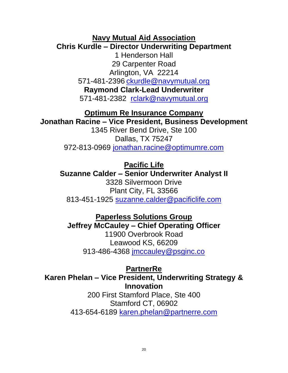#### **Navy Mutual Aid Association Chris Kurdle – Director Underwriting Department**

1 Henderson Hall 29 Carpenter Road Arlington, VA 22214 571-481-2396 [ckurdle@navymutual.org](mailto:ckurdle@navymutual.org) **Raymond Clark-Lead Underwriter** 571-481-2382 [rclark@navymutual.org](mailto:rclark@navymutual.org)

**Optimum Re Insurance Company Jonathan Racine – Vice President, Business Development**

1345 River Bend Drive, Ste 100 Dallas, TX 75247 972-813-0969 [jonathan.racine@optimumre.com](mailto:jonathan.racine@optimumre.com)

**Pacific Life**

**Suzanne Calder – Senior Underwriter Analyst II** 3328 Silvermoon Drive Plant City, FL 33566 813-451-1925 [suzanne.calder@pacificlife.com](mailto:suzanne.calder@pacificlife.com)

**Paperless Solutions Group Jeffrey McCauley – Chief Operating Officer** 11900 Overbrook Road

Leawood KS, 66209 913-486-4368 [jmccauley@psginc.co](mailto:jmccauley@psginc.co)

**PartnerRe Karen Phelan – Vice President, Underwriting Strategy & Innovation**

200 First Stamford Place, Ste 400 Stamford CT, 06902 413-654-6189 [karen.phelan@partnerre.com](mailto:karen.phelan@partnerre.com)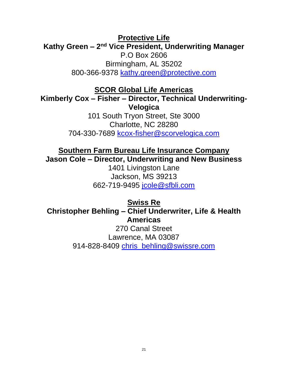**Protective Life** Kathy Green - 2<sup>nd</sup> Vice President, Underwriting Manager P.O Box 2606 Birmingham, AL 35202 800-366-9378 [kathy.green@protective.com](mailto:kathy.green@protective.com)

**SCOR Global Life Americas**

**Kimberly Cox – Fisher – Director, Technical Underwriting-Velogica** 

> 101 South Tryon Street, Ste 3000 Charlotte, NC 28280 704-330-7689 [kcox-fisher@scorvelogica.com](file:///D:/Users/ue0064/Documents/SEHOUA/kcox-fisher@scorvelogica.com)

**Southern Farm Bureau Life Insurance Company Jason Cole – Director, Underwriting and New Business**

1401 Livingston Lane Jackson, MS 39213 662-719-9495 [jcole@sfbli.com](mailto:jcole@sfbli.com)

**Swiss Re Christopher Behling – Chief Underwriter, Life & Health Americas** 270 Canal Street Lawrence, MA 03087 914-828-8409 [chris\\_behling@swissre.com](mailto:chris_behling@swissre.com)